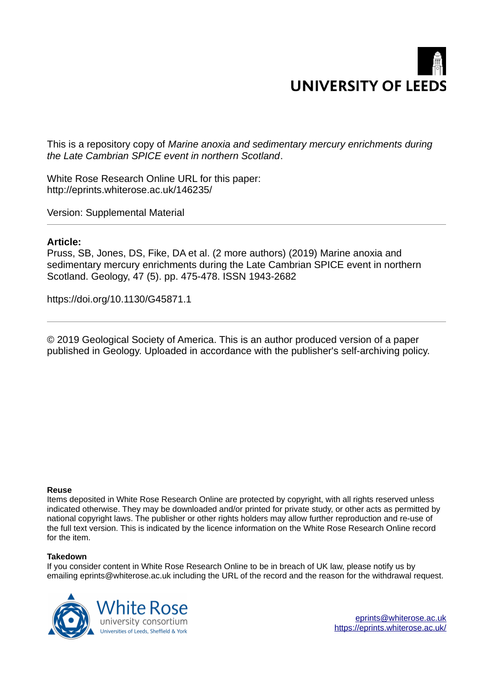

This is a repository copy of *Marine anoxia and sedimentary mercury enrichments during the Late Cambrian SPICE event in northern Scotland*.

White Rose Research Online URL for this paper: http://eprints.whiterose.ac.uk/146235/

Version: Supplemental Material

## **Article:**

Pruss, SB, Jones, DS, Fike, DA et al. (2 more authors) (2019) Marine anoxia and sedimentary mercury enrichments during the Late Cambrian SPICE event in northern Scotland. Geology, 47 (5). pp. 475-478. ISSN 1943-2682

https://doi.org/10.1130/G45871.1

© 2019 Geological Society of America. This is an author produced version of a paper published in Geology. Uploaded in accordance with the publisher's self-archiving policy.

## **Reuse**

Items deposited in White Rose Research Online are protected by copyright, with all rights reserved unless indicated otherwise. They may be downloaded and/or printed for private study, or other acts as permitted by national copyright laws. The publisher or other rights holders may allow further reproduction and re-use of the full text version. This is indicated by the licence information on the White Rose Research Online record for the item.

## **Takedown**

If you consider content in White Rose Research Online to be in breach of UK law, please notify us by emailing eprints@whiterose.ac.uk including the URL of the record and the reason for the withdrawal request.



[eprints@whiterose.ac.uk](mailto:eprints@whiterose.ac.uk) <https://eprints.whiterose.ac.uk/>